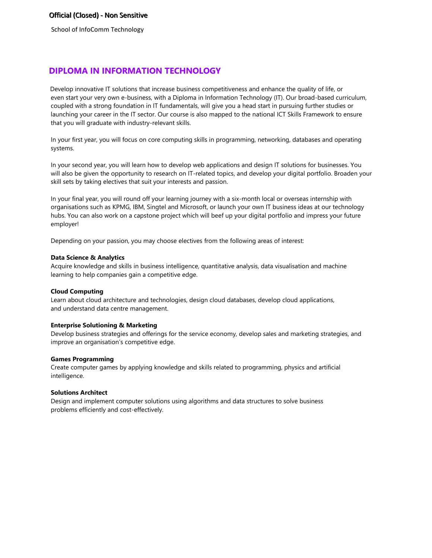School of InfoComm Technology

# **DIPLOMA IN INFORMATION TECHNOLOGY**

Develop innovative IT solutions that increase business competitiveness and enhance the quality of life, or even start your very own e-business, with a Diploma in Information Technology (IT). Our broad-based curriculum, coupled with a strong foundation in IT fundamentals, will give you a head start in pursuing further studies or launching your career in the IT sector. Our course is also mapped to the national ICT Skills Framework to ensure that you will graduate with industry-relevant skills.

In your first year, you will focus on core computing skills in programming, networking, databases and operating systems.

In your second year, you will learn how to develop web applications and design IT solutions for businesses. You will also be given the opportunity to research on IT-related topics, and develop your digital portfolio. Broaden your skill sets by taking electives that suit your interests and passion.

In your final year, you will round off your learning journey with a six-month local or overseas internship with organisations such as KPMG, IBM, Singtel and Microsoft, or launch your own IT business ideas at our technology hubs. You can also work on a capstone project which will beef up your digital portfolio and impress your future employer!

Depending on your passion, you may choose electives from the following areas of interest:

### **Data Science & Analytics**

Acquire knowledge and skills in business intelligence, quantitative analysis, data visualisation and machine learning to help companies gain a competitive edge.

#### **Cloud Computing**

Learn about cloud architecture and technologies, design cloud databases, develop cloud applications, and understand data centre management.

### **Enterprise Solutioning & Marketing**

Develop business strategies and offerings for the service economy, develop sales and marketing strategies, and improve an organisation's competitive edge.

#### **Games Programming**

Create computer games by applying knowledge and skills related to programming, physics and artificial intelligence.

#### **Solutions Architect**

Design and implement computer solutions using algorithms and data structures to solve business problems efficiently and cost-effectively.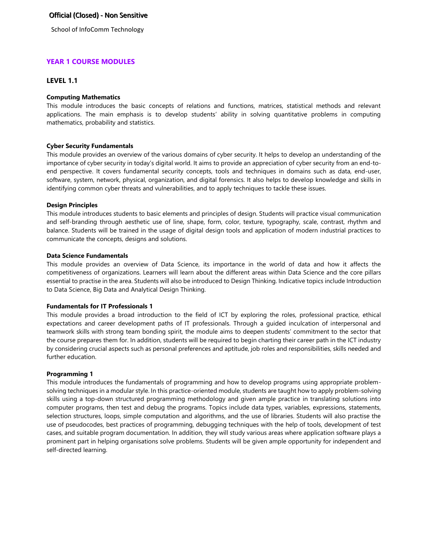School of InfoComm Technology

# **YEAR 1 COURSE MODULES**

# **LEVEL 1.1**

### **Computing Mathematics**

This module introduces the basic concepts of relations and functions, matrices, statistical methods and relevant applications. The main emphasis is to develop students' ability in solving quantitative problems in computing mathematics, probability and statistics.

### **Cyber Security Fundamentals**

This module provides an overview of the various domains of cyber security. It helps to develop an understanding of the importance of cyber security in today's digital world. It aims to provide an appreciation of cyber security from an end-toend perspective. It covers fundamental security concepts, tools and techniques in domains such as data, end-user, software, system, network, physical, organization, and digital forensics. It also helps to develop knowledge and skills in identifying common cyber threats and vulnerabilities, and to apply techniques to tackle these issues.

#### **Design Principles**

This module introduces students to basic elements and principles of design. Students will practice visual communication and self-branding through aesthetic use of line, shape, form, color, texture, typography, scale, contrast, rhythm and balance. Students will be trained in the usage of digital design tools and application of modern industrial practices to communicate the concepts, designs and solutions.

# **Data Science Fundamentals**

This module provides an overview of Data Science, its importance in the world of data and how it affects the competitiveness of organizations. Learners will learn about the different areas within Data Science and the core pillars essential to practise in the area. Students will also be introduced to Design Thinking. Indicative topics include Introduction to Data Science, Big Data and Analytical Design Thinking.

#### **Fundamentals for IT Professionals 1**

This module provides a broad introduction to the field of ICT by exploring the roles, professional practice, ethical expectations and career development paths of IT professionals. Through a guided inculcation of interpersonal and teamwork skills with strong team bonding spirit, the module aims to deepen students' commitment to the sector that the course prepares them for. In addition, students will be required to begin charting their career path in the ICT industry by considering crucial aspects such as personal preferences and aptitude, job roles and responsibilities, skills needed and further education.

#### **Programming 1**

This module introduces the fundamentals of programming and how to develop programs using appropriate problemsolving techniques in a modular style. In this practice-oriented module, students are taught how to apply problem-solving skills using a top-down structured programming methodology and given ample practice in translating solutions into computer programs, then test and debug the programs. Topics include data types, variables, expressions, statements, selection structures, loops, simple computation and algorithms, and the use of libraries. Students will also practise the use of pseudocodes, best practices of programming, debugging techniques with the help of tools, development of test cases, and suitable program documentation. In addition, they will study various areas where application software plays a prominent part in helping organisations solve problems. Students will be given ample opportunity for independent and self-directed learning.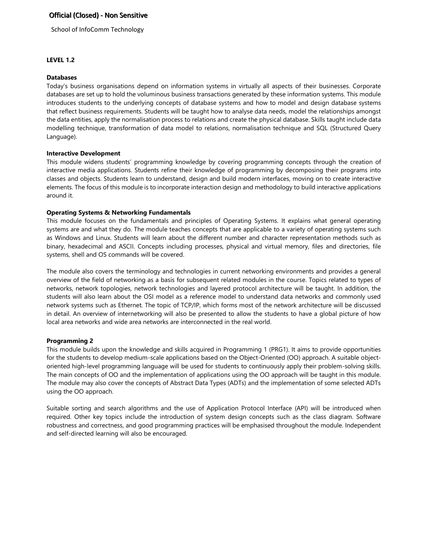School of InfoComm Technology

# **LEVEL 1.2**

### **Databases**

Today's business organisations depend on information systems in virtually all aspects of their businesses. Corporate databases are set up to hold the voluminous business transactions generated by these information systems. This module introduces students to the underlying concepts of database systems and how to model and design database systems that reflect business requirements. Students will be taught how to analyse data needs, model the relationships amongst the data entities, apply the normalisation process to relations and create the physical database. Skills taught include data modelling technique, transformation of data model to relations, normalisation technique and SQL (Structured Query Language).

### **Interactive Development**

This module widens students' programming knowledge by covering programming concepts through the creation of interactive media applications. Students refine their knowledge of programming by decomposing their programs into classes and objects. Students learn to understand, design and build modern interfaces, moving on to create interactive elements. The focus of this module is to incorporate interaction design and methodology to build interactive applications around it.

### **Operating Systems & Networking Fundamentals**

This module focuses on the fundamentals and principles of Operating Systems. It explains what general operating systems are and what they do. The module teaches concepts that are applicable to a variety of operating systems such as Windows and Linux. Students will learn about the different number and character representation methods such as binary, hexadecimal and ASCII. Concepts including processes, physical and virtual memory, files and directories, file systems, shell and OS commands will be covered.

The module also covers the terminology and technologies in current networking environments and provides a general overview of the field of networking as a basis for subsequent related modules in the course. Topics related to types of networks, network topologies, network technologies and layered protocol architecture will be taught. In addition, the students will also learn about the OSI model as a reference model to understand data networks and commonly used network systems such as Ethernet. The topic of TCP/IP, which forms most of the network architecture will be discussed in detail. An overview of internetworking will also be presented to allow the students to have a global picture of how local area networks and wide area networks are interconnected in the real world.

## **Programming 2**

This module builds upon the knowledge and skills acquired in Programming 1 (PRG1). It aims to provide opportunities for the students to develop medium-scale applications based on the Object-Oriented (OO) approach. A suitable objectoriented high-level programming language will be used for students to continuously apply their problem-solving skills. The main concepts of OO and the implementation of applications using the OO approach will be taught in this module. The module may also cover the concepts of Abstract Data Types (ADTs) and the implementation of some selected ADTs using the OO approach.

Suitable sorting and search algorithms and the use of Application Protocol Interface (API) will be introduced when required. Other key topics include the introduction of system design concepts such as the class diagram. Software robustness and correctness, and good programming practices will be emphasised throughout the module. Independent and self-directed learning will also be encouraged.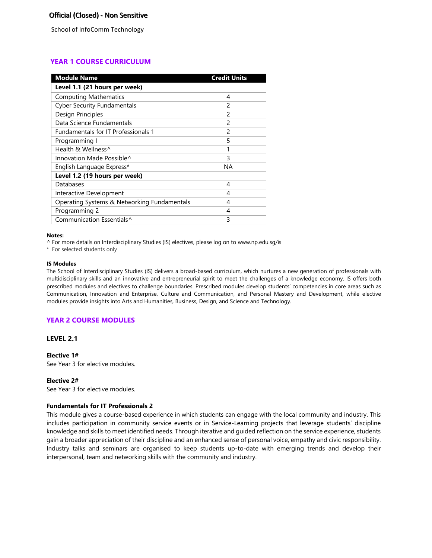School of InfoComm Technology

# **YEAR 1 COURSE CURRICULUM**

| <b>Module Name</b>                          | <b>Credit Units</b> |
|---------------------------------------------|---------------------|
| Level 1.1 (21 hours per week)               |                     |
| <b>Computing Mathematics</b>                | 4                   |
| <b>Cyber Security Fundamentals</b>          | $\mathcal{P}$       |
| Design Principles                           | $\mathcal{P}$       |
| Data Science Fundamentals                   | $\mathcal{P}$       |
| Fundamentals for IT Professionals 1         | $\mathcal{P}$       |
| Programming I                               | 5                   |
| Health & Wellness^                          | 1                   |
| Innovation Made Possible^                   | 3                   |
| English Language Express*                   | NА                  |
| Level 1.2 (19 hours per week)               |                     |
| Databases                                   | 4                   |
| Interactive Development                     | 4                   |
| Operating Systems & Networking Fundamentals | 4                   |
| Programming 2                               | 4                   |
| Communication Essentials <sup>^</sup>       | 3                   |

#### **Notes:**

^ For more details on Interdisciplinary Studies (IS) electives, please log on to [www.np.edu.sg/is](http://www.np.edu.sg/is)

\* For selected students only

#### **IS Modules**

The School of Interdisciplinary Studies (IS) delivers a broad-based curriculum, which nurtures a new generation of professionals with multidisciplinary skills and an innovative and entrepreneurial spirit to meet the challenges of a knowledge economy. IS offers both prescribed modules and electives to challenge boundaries. Prescribed modules develop students' competencies in core areas such as Communication, Innovation and Enterprise, Culture and Communication, and Personal Mastery and Development, while elective modules provide insights into Arts and Humanities, Business, Design, and Science and Technology.

# **YEAR 2 COURSE MODULES**

# **LEVEL 2.1**

## **Elective 1#**

See Year 3 for elective modules.

# **Elective 2#**

See Year 3 for elective modules.

## **Fundamentals for IT Professionals 2**

This module gives a course-based experience in which students can engage with the local community and industry. This includes participation in community service events or in Service-Learning projects that leverage students' discipline knowledge and skills to meet identified needs. Through iterative and guided reflection on the service experience, students gain a broader appreciation of their discipline and an enhanced sense of personal voice, empathy and civic responsibility. Industry talks and seminars are organised to keep students up-to-date with emerging trends and develop their interpersonal, team and networking skills with the community and industry.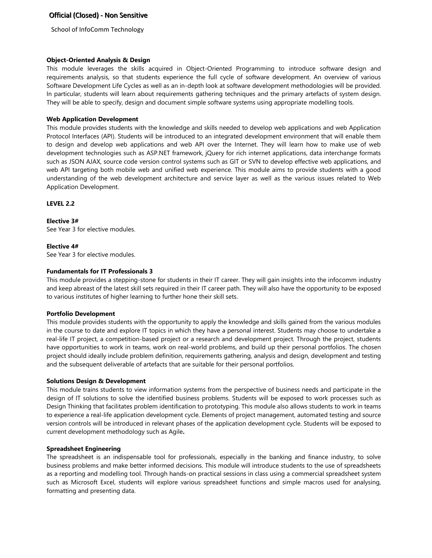School of InfoComm Technology

### **Object-Oriented Analysis & Design**

This module leverages the skills acquired in Object-Oriented Programming to introduce software design and requirements analysis, so that students experience the full cycle of software development. An overview of various Software Development Life Cycles as well as an in-depth look at software development methodologies will be provided. In particular, students will learn about requirements gathering techniques and the primary artefacts of system design. They will be able to specify, design and document simple software systems using appropriate modelling tools.

## **Web Application Development**

This module provides students with the knowledge and skills needed to develop web applications and web Application Protocol Interfaces (API). Students will be introduced to an integrated development environment that will enable them to design and develop web applications and web API over the Internet. They will learn how to make use of web development technologies such as ASP.NET framework, jQuery for rich internet applications, data interchange formats such as JSON AJAX, source code version control systems such as GIT or SVN to develop effective web applications, and web API targeting both mobile web and unified web experience. This module aims to provide students with a good understanding of the web development architecture and service layer as well as the various issues related to Web Application Development.

## **LEVEL 2.2**

**Elective 3#** See Year 3 for elective modules.

### **Elective 4#**

See Year 3 for elective modules.

## **Fundamentals for IT Professionals 3**

This module provides a stepping-stone for students in their IT career. They will gain insights into the infocomm industry and keep abreast of the latest skill sets required in their IT career path. They will also have the opportunity to be exposed to various institutes of higher learning to further hone their skill sets.

## **Portfolio Development**

This module provides students with the opportunity to apply the knowledge and skills gained from the various modules in the course to date and explore IT topics in which they have a personal interest. Students may choose to undertake a real-life IT project, a competition-based project or a research and development project. Through the project, students have opportunities to work in teams, work on real-world problems, and build up their personal portfolios. The chosen project should ideally include problem definition, requirements gathering, analysis and design, development and testing and the subsequent deliverable of artefacts that are suitable for their personal portfolios.

#### **Solutions Design & Development**

This module trains students to view information systems from the perspective of business needs and participate in the design of IT solutions to solve the identified business problems. Students will be exposed to work processes such as Design Thinking that facilitates problem identification to prototyping. This module also allows students to work in teams to experience a real-life application development cycle. Elements of project management, automated testing and source version controls will be introduced in relevant phases of the application development cycle. Students will be exposed to current development methodology such as Agile**.**

## **Spreadsheet Engineering**

The spreadsheet is an indispensable tool for professionals, especially in the banking and finance industry, to solve business problems and make better informed decisions. This module will introduce students to the use of spreadsheets as a reporting and modelling tool. Through hands-on practical sessions in class using a commercial spreadsheet system such as Microsoft Excel, students will explore various spreadsheet functions and simple macros used for analysing, formatting and presenting data.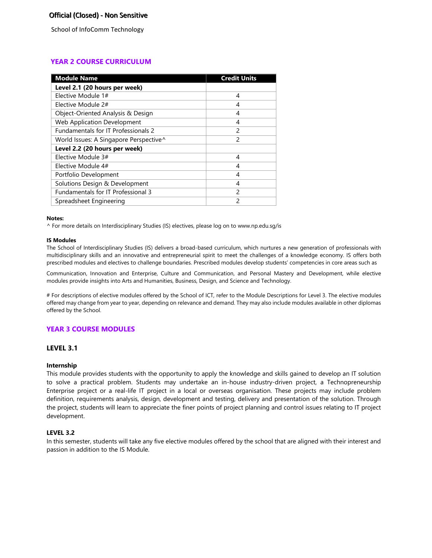School of InfoComm Technology

# **YEAR 2 COURSE CURRICULUM**

| <b>Module Name</b>                         | <b>Credit Units</b> |
|--------------------------------------------|---------------------|
| Level 2.1 (20 hours per week)              |                     |
| Elective Module 1#                         | 4                   |
| Elective Module 2#                         | 4                   |
| Object-Oriented Analysis & Design          | 4                   |
| <b>Web Application Development</b>         | 4                   |
| <b>Fundamentals for IT Professionals 2</b> | $\mathfrak{p}$      |
| World Issues: A Singapore Perspective^     | $\mathcal{P}$       |
| Level 2.2 (20 hours per week)              |                     |
| Elective Module 3#                         | 4                   |
| Elective Module 4#                         | 4                   |
| Portfolio Development                      | 4                   |
| Solutions Design & Development             | 4                   |
| Fundamentals for IT Professional 3         | 2                   |
| Spreadsheet Engineering                    | 2                   |

#### **Notes:**

^ For more details on Interdisciplinary Studies (IS) electives, please log on to [www.np.edu.sg/is](http://www.np.edu.sg/is)

#### **IS Modules**

The School of Interdisciplinary Studies (IS) delivers a broad-based curriculum, which nurtures a new generation of professionals with multidisciplinary skills and an innovative and entrepreneurial spirit to meet the challenges of a knowledge economy. IS offers both prescribed modules and electives to challenge boundaries. Prescribed modules develop students' competencies in core areas such as

Communication, Innovation and Enterprise, Culture and Communication, and Personal Mastery and Development, while elective modules provide insights into Arts and Humanities, Business, Design, and Science and Technology.

# For descriptions of elective modules offered by the School of ICT, refer to the Module Descriptions for Level 3. The elective modules offered may change from year to year, depending on relevance and demand. They may also include modules available in other diplomas offered by the School.

# **YEAR 3 COURSE MODULES**

# **LEVEL 3.1**

#### **Internship**

This module provides students with the opportunity to apply the knowledge and skills gained to develop an IT solution to solve a practical problem. Students may undertake an in-house industry-driven project, a Technopreneurship Enterprise project or a real-life IT project in a local or overseas organisation. These projects may include problem definition, requirements analysis, design, development and testing, delivery and presentation of the solution. Through the project, students will learn to appreciate the finer points of project planning and control issues relating to IT project development.

### **LEVEL 3.2**

In this semester, students will take any five elective modules offered by the school that are aligned with their interest and passion in addition to the IS Module.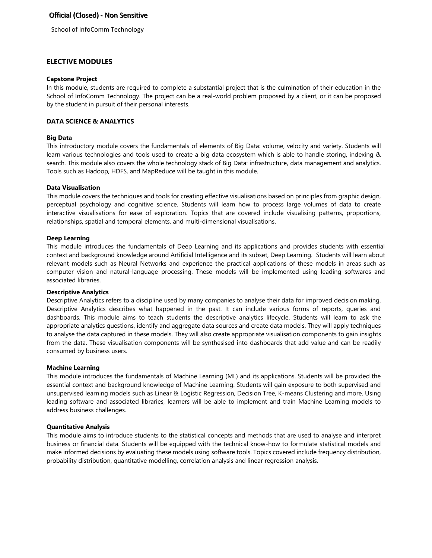School of InfoComm Technology

# **ELECTIVE MODULES**

### **Capstone Project**

In this module, students are required to complete a substantial project that is the culmination of their education in the School of InfoComm Technology. The project can be a real-world problem proposed by a client, or it can be proposed by the student in pursuit of their personal interests.

# **DATA SCIENCE & ANALYTICS**

## **Big Data**

This introductory module covers the fundamentals of elements of Big Data: volume, velocity and variety. Students will learn various technologies and tools used to create a big data ecosystem which is able to handle storing, indexing & search. This module also covers the whole technology stack of Big Data: infrastructure, data management and analytics. Tools such as Hadoop, HDFS, and MapReduce will be taught in this module.

### **Data Visualisation**

This module covers the techniques and tools for creating effective visualisations based on principles from graphic design, perceptual psychology and cognitive science. Students will learn how to process large volumes of data to create interactive visualisations for ease of exploration. Topics that are covered include visualising patterns, proportions, relationships, spatial and temporal elements, and multi-dimensional visualisations.

### **Deep Learning**

This module introduces the fundamentals of Deep Learning and its applications and provides students with essential context and background knowledge around Artificial Intelligence and its subset, Deep Learning. Students will learn about relevant models such as Neural Networks and experience the practical applications of these models in areas such as computer vision and natural-language processing. These models will be implemented using leading softwares and associated libraries.

#### **Descriptive Analytics**

Descriptive Analytics refers to a discipline used by many companies to analyse their data for improved decision making. Descriptive Analytics describes what happened in the past. It can include various forms of reports, queries and dashboards. This module aims to teach students the descriptive analytics lifecycle. Students will learn to ask the appropriate analytics questions, identify and aggregate data sources and create data models. They will apply techniques to analyse the data captured in these models. They will also create appropriate visualisation components to gain insights from the data. These visualisation components will be synthesised into dashboards that add value and can be readily consumed by business users.

#### **Machine Learning**

This module introduces the fundamentals of Machine Learning (ML) and its applications. Students will be provided the essential context and background knowledge of Machine Learning. Students will gain exposure to both supervised and unsupervised learning models such as Linear & Logistic Regression, Decision Tree, K-means Clustering and more. Using leading software and associated libraries, learners will be able to implement and train Machine Learning models to address business challenges.

#### **Quantitative Analysis**

This module aims to introduce students to the statistical concepts and methods that are used to analyse and interpret business or financial data. Students will be equipped with the technical know-how to formulate statistical models and make informed decisions by evaluating these models using software tools. Topics covered include frequency distribution, probability distribution, quantitative modelling, correlation analysis and linear regression analysis.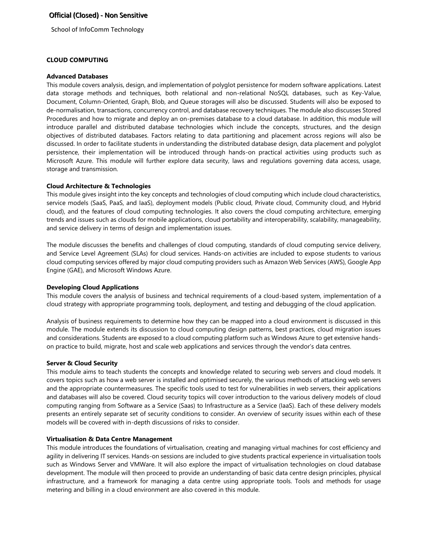School of InfoComm Technology

# **CLOUD COMPUTING**

### **Advanced Databases**

This module covers analysis, design, and implementation of polyglot persistence for modern software applications. Latest data storage methods and techniques, both relational and non-relational NoSQL databases, such as Key-Value, Document, Column-Oriented, Graph, Blob, and Queue storages will also be discussed. Students will also be exposed to de-normalisation, transactions, concurrency control, and database recovery techniques. The module also discusses Stored Procedures and how to migrate and deploy an on-premises database to a cloud database. In addition, this module will introduce parallel and distributed database technologies which include the concepts, structures, and the design objectives of distributed databases. Factors relating to data partitioning and placement across regions will also be discussed. In order to facilitate students in understanding the distributed database design, data placement and polyglot persistence, their implementation will be introduced through hands-on practical activities using products such as Microsoft Azure. This module will further explore data security, laws and regulations governing data access, usage, storage and transmission.

### **Cloud Architecture & Technologies**

This module gives insight into the key concepts and technologies of cloud computing which include cloud characteristics, service models (SaaS, PaaS, and IaaS), deployment models (Public cloud, Private cloud, Community cloud, and Hybrid cloud), and the features of cloud computing technologies. It also covers the cloud computing architecture, emerging trends and issues such as clouds for mobile applications, cloud portability and interoperability, scalability, manageability, and service delivery in terms of design and implementation issues.

The module discusses the benefits and challenges of cloud computing, standards of cloud computing service delivery, and Service Level Agreement (SLAs) for cloud services. Hands-on activities are included to expose students to various cloud computing services offered by major cloud computing providers such as Amazon Web Services (AWS), Google App Engine (GAE), and Microsoft Windows Azure.

#### **Developing Cloud Applications**

This module covers the analysis of business and technical requirements of a cloud-based system, implementation of a cloud strategy with appropriate programming tools, deployment, and testing and debugging of the cloud application.

Analysis of business requirements to determine how they can be mapped into a cloud environment is discussed in this module. The module extends its discussion to cloud computing design patterns, best practices, cloud migration issues and considerations. Students are exposed to a cloud computing platform such as Windows Azure to get extensive handson practice to build, migrate, host and scale web applications and services through the vendor's data centres.

#### **Server & Cloud Security**

This module aims to teach students the concepts and knowledge related to securing web servers and cloud models. It covers topics such as how a web server is installed and optimised securely, the various methods of attacking web servers and the appropriate countermeasures. The specific tools used to test for vulnerabilities in web servers, their applications and databases will also be covered. Cloud security topics will cover introduction to the various delivery models of cloud computing ranging from Software as a Service (Saas) to Infrastructure as a Service (IaaS). Each of these delivery models presents an entirely separate set of security conditions to consider. An overview of security issues within each of these models will be covered with in-depth discussions of risks to consider.

#### **Virtualisation & Data Centre Management**

This module introduces the foundations of virtualisation, creating and managing virtual machines for cost efficiency and agility in delivering IT services. Hands-on sessions are included to give students practical experience in virtualisation tools such as Windows Server and VMWare. It will also explore the impact of virtualisation technologies on cloud database development. The module will then proceed to provide an understanding of basic data centre design principles, physical infrastructure, and a framework for managing a data centre using appropriate tools. Tools and methods for usage metering and billing in a cloud environment are also covered in this module.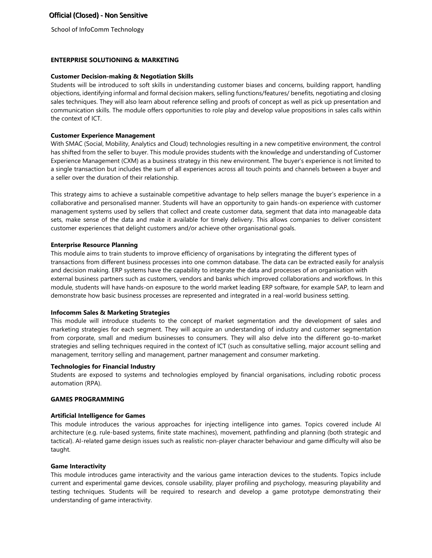School of InfoComm Technology

# **ENTERPRISE SOLUTIONING & MARKETING**

#### **Customer Decision-making & Negotiation Skills**

Students will be introduced to soft skills in understanding customer biases and concerns, building rapport, handling objections, identifying informal and formal decision makers, selling functions/features/ benefits, negotiating and closing sales techniques. They will also learn about reference selling and proofs of concept as well as pick up presentation and communication skills. The module offers opportunities to role play and develop value propositions in sales calls within the context of ICT.

### **Customer Experience Management**

With SMAC (Social, Mobility, Analytics and Cloud) technologies resulting in a new competitive environment, the control has shifted from the seller to buyer. This module provides students with the knowledge and understanding of Customer Experience Management (CXM) as a business strategy in this new environment. The buyer's experience is not limited to a single transaction but includes the sum of all experiences across all touch points and channels between a buyer and a seller over the duration of their relationship.

This strategy aims to achieve a sustainable competitive advantage to help sellers manage the buyer's experience in a collaborative and personalised manner. Students will have an opportunity to gain hands-on experience with customer management systems used by sellers that collect and create customer data, segment that data into manageable data sets, make sense of the data and make it available for timely delivery. This allows companies to deliver consistent customer experiences that delight customers and/or achieve other organisational goals.

### **Enterprise Resource Planning**

This module aims to train students to improve efficiency of organisations by integrating the different types of transactions from different business processes into one common database. The data can be extracted easily for analysis and decision making. ERP systems have the capability to integrate the data and processes of an organisation with external business partners such as customers, vendors and banks which improved collaborations and workflows. In this module, students will have hands-on exposure to the world market leading ERP software, for example SAP, to learn and demonstrate how basic business processes are represented and integrated in a real-world business setting.

#### **Infocomm Sales & Marketing Strategies**

This module will introduce students to the concept of market segmentation and the development of sales and marketing strategies for each segment. They will acquire an understanding of industry and customer segmentation from corporate, small and medium businesses to consumers. They will also delve into the different go-to-market strategies and selling techniques required in the context of ICT (such as consultative selling, major account selling and management, territory selling and management, partner management and consumer marketing.

#### **Technologies for Financial Industry**

Students are exposed to systems and technologies employed by financial organisations, including robotic process automation (RPA).

# **GAMES PROGRAMMING**

#### **Artificial Intelligence for Games**

This module introduces the various approaches for injecting intelligence into games. Topics covered include AI architecture (e.g. rule-based systems, finite state machines), movement, pathfinding and planning (both strategic and tactical). AI-related game design issues such as realistic non-player character behaviour and game difficulty will also be taught.

#### **Game Interactivity**

This module introduces game interactivity and the various game interaction devices to the students. Topics include current and experimental game devices, console usability, player profiling and psychology, measuring playability and testing techniques. Students will be required to research and develop a game prototype demonstrating their understanding of game interactivity.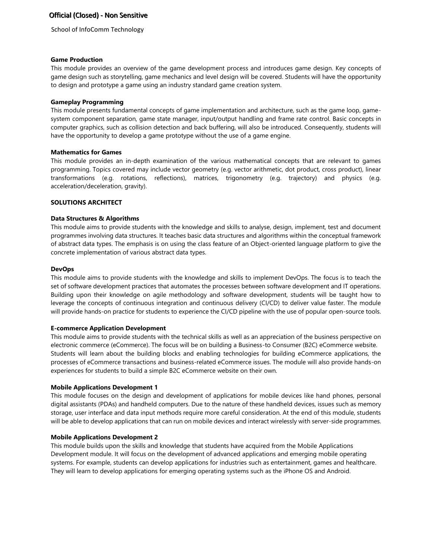School of InfoComm Technology

## **Game Production**

This module provides an overview of the game development process and introduces game design. Key concepts of game design such as storytelling, game mechanics and level design will be covered. Students will have the opportunity to design and prototype a game using an industry standard game creation system.

## **Gameplay Programming**

This module presents fundamental concepts of game implementation and architecture, such as the game loop, gamesystem component separation, game state manager, input/output handling and frame rate control. Basic concepts in computer graphics, such as collision detection and back buffering, will also be introduced. Consequently, students will have the opportunity to develop a game prototype without the use of a game engine.

## **Mathematics for Games**

This module provides an in-depth examination of the various mathematical concepts that are relevant to games programming. Topics covered may include vector geometry (e.g. vector arithmetic, dot product, cross product), linear transformations (e.g. rotations, reflections), matrices, trigonometry (e.g. trajectory) and physics (e.g. acceleration/deceleration, gravity).

# **SOLUTIONS ARCHITECT**

## **Data Structures & Algorithms**

This module aims to provide students with the knowledge and skills to analyse, design, implement, test and document programmes involving data structures. It teaches basic data structures and algorithms within the conceptual framework of abstract data types. The emphasis is on using the class feature of an Object-oriented language platform to give the concrete implementation of various abstract data types.

### **DevOps**

This module aims to provide students with the knowledge and skills to implement DevOps. The focus is to teach the set of software development practices that automates the processes between software development and IT operations. Building upon their knowledge on agile methodology and software development, students will be taught how to leverage the concepts of continuous integration and continuous delivery (CI/CD) to deliver value faster. The module will provide hands-on practice for students to experience the CI/CD pipeline with the use of popular open-source tools.

#### **E-commerce Application Development**

This module aims to provide students with the technical skills as well as an appreciation of the business perspective on electronic commerce (eCommerce). The focus will be on building a Business-to Consumer (B2C) eCommerce website. Students will learn about the building blocks and enabling technologies for building eCommerce applications, the processes of eCommerce transactions and business-related eCommerce issues. The module will also provide hands-on experiences for students to build a simple B2C eCommerce website on their own.

## **Mobile Applications Development 1**

This module focuses on the design and development of applications for mobile devices like hand phones, personal digital assistants (PDAs) and handheld computers. Due to the nature of these handheld devices, issues such as memory storage, user interface and data input methods require more careful consideration. At the end of this module, students will be able to develop applications that can run on mobile devices and interact wirelessly with server-side programmes.

## **Mobile Applications Development 2**

This module builds upon the skills and knowledge that students have acquired from the Mobile Applications Development module. It will focus on the development of advanced applications and emerging mobile operating systems. For example, students can develop applications for industries such as entertainment, games and healthcare. They will learn to develop applications for emerging operating systems such as the iPhone OS and Android.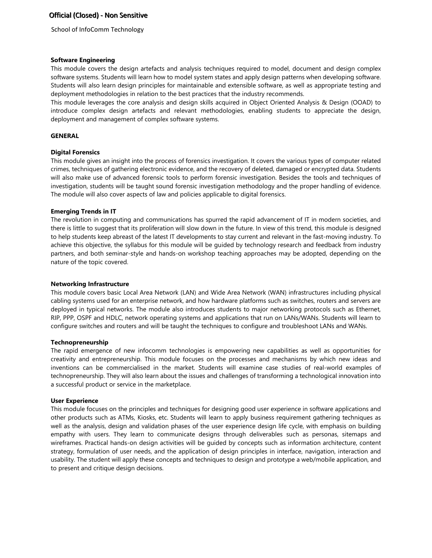School of InfoComm Technology

#### **Software Engineering**

This module covers the design artefacts and analysis techniques required to model, document and design complex software systems. Students will learn how to model system states and apply design patterns when developing software. Students will also learn design principles for maintainable and extensible software, as well as appropriate testing and deployment methodologies in relation to the best practices that the industry recommends.

This module leverages the core analysis and design skills acquired in Object Oriented Analysis & Design (OOAD) to introduce complex design artefacts and relevant methodologies, enabling students to appreciate the design, deployment and management of complex software systems.

# **GENERAL**

### **Digital Forensics**

This module gives an insight into the process of forensics investigation. It covers the various types of computer related crimes, techniques of gathering electronic evidence, and the recovery of deleted, damaged or encrypted data. Students will also make use of advanced forensic tools to perform forensic investigation. Besides the tools and techniques of investigation, students will be taught sound forensic investigation methodology and the proper handling of evidence. The module will also cover aspects of law and policies applicable to digital forensics.

### **Emerging Trends in IT**

The revolution in computing and communications has spurred the rapid advancement of IT in modern societies, and there is little to suggest that its proliferation will slow down in the future. In view of this trend, this module is designed to help students keep abreast of the latest IT developments to stay current and relevant in the fast-moving industry. To achieve this objective, the syllabus for this module will be guided by technology research and feedback from industry partners, and both seminar-style and hands-on workshop teaching approaches may be adopted, depending on the nature of the topic covered.

## **Networking Infrastructure**

This module covers basic Local Area Network (LAN) and Wide Area Network (WAN) infrastructures including physical cabling systems used for an enterprise network, and how hardware platforms such as switches, routers and servers are deployed in typical networks. The module also introduces students to major networking protocols such as Ethernet, RIP, PPP, OSPF and HDLC, network operating systems and applications that run on LANs/WANs. Students will learn to configure switches and routers and will be taught the techniques to configure and troubleshoot LANs and WANs.

#### **Technopreneurship**

The rapid emergence of new infocomm technologies is empowering new capabilities as well as opportunities for creativity and entrepreneurship. This module focuses on the processes and mechanisms by which new ideas and inventions can be commercialised in the market. Students will examine case studies of real-world examples of technopreneurship. They will also learn about the issues and challenges of transforming a technological innovation into a successful product or service in the marketplace.

#### **User Experience**

This module focuses on the principles and techniques for designing good user experience in software applications and other products such as ATMs, Kiosks, etc. Students will learn to apply business requirement gathering techniques as well as the analysis, design and validation phases of the user experience design life cycle, with emphasis on building empathy with users. They learn to communicate designs through deliverables such as personas, sitemaps and wireframes. Practical hands-on design activities will be guided by concepts such as information architecture, content strategy, formulation of user needs, and the application of design principles in interface, navigation, interaction and usability. The student will apply these concepts and techniques to design and prototype a web/mobile application, and to present and critique design decisions.